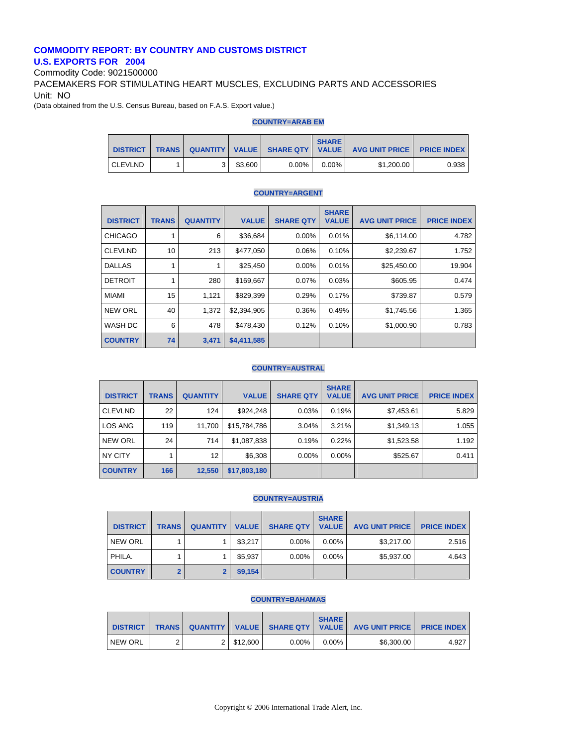## **COMMODITY REPORT: BY COUNTRY AND CUSTOMS DISTRICT U.S. EXPORTS FOR 2004**

Commodity Code: 9021500000

PACEMAKERS FOR STIMULATING HEART MUSCLES, EXCLUDING PARTS AND ACCESSORIES Unit: NO

(Data obtained from the U.S. Census Bureau, based on F.A.S. Export value.)

#### **COUNTRY=ARAB EM**

| <b>DISTRICT</b> | <b>TRANS</b> |         |          | <b>SHARE</b> | QUANTITY   VALUE   SHARE QTY   VALUE   AVG UNIT PRICE   PRICE INDEX |       |
|-----------------|--------------|---------|----------|--------------|---------------------------------------------------------------------|-------|
| <b>CLEVLND</b>  |              | \$3.600 | $0.00\%$ | $0.00\%$     | \$1,200.00                                                          | 0.938 |

## **COUNTRY=ARGENT**

| <b>DISTRICT</b> | <b>TRANS</b> | <b>QUANTITY</b> | <b>VALUE</b> | <b>SHARE QTY</b> | <b>SHARE</b><br><b>VALUE</b> | <b>AVG UNIT PRICE</b> | <b>PRICE INDEX</b> |
|-----------------|--------------|-----------------|--------------|------------------|------------------------------|-----------------------|--------------------|
| <b>CHICAGO</b>  |              | 6               | \$36,684     | $0.00\%$         | 0.01%                        | \$6,114.00            | 4.782              |
| <b>CLEVLND</b>  | 10           | 213             | \$477,050    | 0.06%            | 0.10%                        | \$2,239.67            | 1.752              |
| <b>DALLAS</b>   |              |                 | \$25,450     | $0.00\%$         | 0.01%                        | \$25,450.00           | 19.904             |
| <b>DETROIT</b>  |              | 280             | \$169,667    | 0.07%            | 0.03%                        | \$605.95              | 0.474              |
| <b>MIAMI</b>    | 15           | 1,121           | \$829,399    | 0.29%            | 0.17%                        | \$739.87              | 0.579              |
| <b>NEW ORL</b>  | 40           | 1.372           | \$2,394,905  | 0.36%            | 0.49%                        | \$1,745.56            | 1.365              |
| WASH DC         | 6            | 478             | \$478,430    | 0.12%            | 0.10%                        | \$1,000.90            | 0.783              |
| <b>COUNTRY</b>  | 74           | 3,471           | \$4,411,585  |                  |                              |                       |                    |

#### **COUNTRY=AUSTRAL**

| <b>DISTRICT</b> | <b>TRANS</b> | <b>QUANTITY</b> | <b>VALUE</b> | <b>SHARE QTY</b> | <b>SHARE</b><br><b>VALUE</b> | <b>AVG UNIT PRICE</b> | <b>PRICE INDEX</b> |
|-----------------|--------------|-----------------|--------------|------------------|------------------------------|-----------------------|--------------------|
| <b>CLEVLND</b>  | 22           | 124             | \$924,248    | 0.03%            | 0.19%                        | \$7,453.61            | 5.829              |
| LOS ANG         | 119          | 11,700          | \$15,784,786 | 3.04%            | 3.21%                        | \$1,349.13            | 1.055              |
| <b>NEW ORL</b>  | 24           | 714             | \$1,087,838  | 0.19%            | 0.22%                        | \$1,523.58            | 1.192              |
| NY CITY         |              | 12              | \$6,308      | $0.00\%$         | $0.00\%$                     | \$525.67              | 0.411              |
| <b>COUNTRY</b>  | 166          | 12,550          | \$17,803,180 |                  |                              |                       |                    |

## **COUNTRY=AUSTRIA**

| <b>DISTRICT</b> | <b>TRANS</b> | <b>QUANTITY</b> | <b>VALUE</b> | <b>SHARE QTY</b> | <b>SHARE</b><br><b>VALUE</b> | <b>AVG UNIT PRICE</b> | <b>PRICE INDEX</b> |
|-----------------|--------------|-----------------|--------------|------------------|------------------------------|-----------------------|--------------------|
| NEW ORL         |              |                 | \$3,217      | $0.00\%$         | $0.00\%$                     | \$3,217,00            | 2.516              |
| PHILA.          |              |                 | \$5.937      | $0.00\%$         | $0.00\%$                     | \$5,937.00            | 4.643              |
| <b>COUNTRY</b>  |              |                 | \$9,154      |                  |                              |                       |                    |

#### **COUNTRY=BAHAMAS**

| <b>DISTRICT</b> |  |            |          | <b>SHARE</b> | TRANS QUANTITY VALUE SHARE QTY VALUE AVG UNIT PRICE PRICE INDEX |       |
|-----------------|--|------------|----------|--------------|-----------------------------------------------------------------|-------|
| <b>NEW ORL</b>  |  | 2 \$12,600 | $0.00\%$ | $0.00\%$     | \$6,300.00                                                      | 4.927 |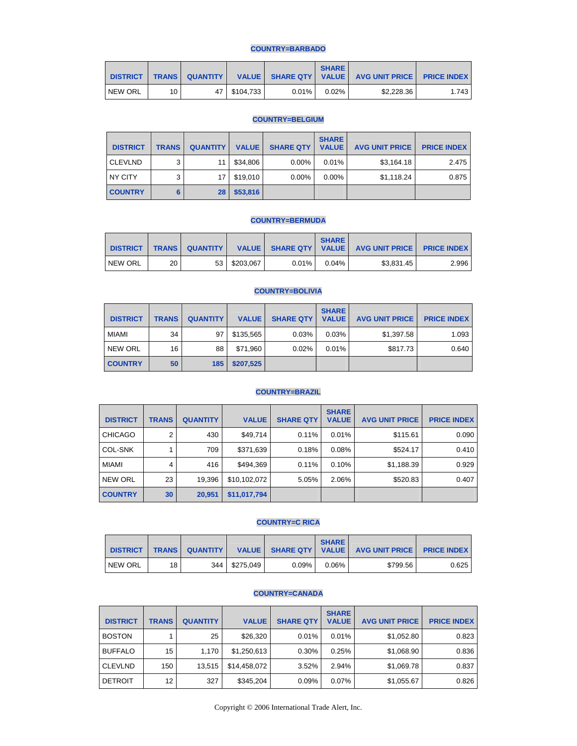## **COUNTRY=BARBADO**

| <b>DISTRICT</b> | <b>TRANS</b> | <b>QUANTITY</b> |                |          | <b>SHARE</b> | VALUE SHARE QTY   VALUE   AVG UNIT PRICE   PRICE INDEX |       |
|-----------------|--------------|-----------------|----------------|----------|--------------|--------------------------------------------------------|-------|
| NEW ORL         | 10           |                 | 47   \$104.733 | $0.01\%$ | $0.02\%$     | \$2.228.36                                             | 1.743 |

## **COUNTRY=BELGIUM**

| <b>DISTRICT</b> | <b>TRANS</b> | <b>QUANTITY</b> | <b>VALUE</b> | <b>SHARE QTY</b> | <b>SHARE</b><br><b>VALUE</b> | <b>AVG UNIT PRICE</b> | <b>PRICE INDEX</b> |
|-----------------|--------------|-----------------|--------------|------------------|------------------------------|-----------------------|--------------------|
| <b>CLEVLND</b>  | ົ            | 11              | \$34.806     | $0.00\%$         | 0.01%                        | \$3,164.18            | 2.475              |
| NY CITY         | 3            | 17              | \$19.010     | $0.00\%$         | $0.00\%$                     | \$1,118.24            | 0.875              |
| <b>COUNTRY</b>  | 6            | 28              | \$53,816     |                  |                              |                       |                    |

## **COUNTRY=BERMUDA**

| <b>DISTRICT</b> |    | <b>TRANS QUANTITY</b> |              |       | <b>SHARE</b> | VALUE SHARE QTY   VALUE   AVG UNIT PRICE   PRICE INDEX |       |
|-----------------|----|-----------------------|--------------|-------|--------------|--------------------------------------------------------|-------|
| NEW ORL         | 20 |                       | 53 \$203,067 | 0.01% | $0.04\%$     | \$3,831.45                                             | 2.996 |

## **COUNTRY=BOLIVIA**

| <b>DISTRICT</b> | <b>TRANS</b> | <b>QUANTITY</b> | <b>VALUE</b> | <b>SHARE QTY</b> | <b>SHARE</b><br><b>VALUE</b> | <b>AVG UNIT PRICE</b> | <b>PRICE INDEX</b> |
|-----------------|--------------|-----------------|--------------|------------------|------------------------------|-----------------------|--------------------|
| <b>MIAMI</b>    | 34           | 97              | \$135.565    | 0.03%            | 0.03%                        | \$1,397.58            | 1.093              |
| <b>NEW ORL</b>  | 16           | 88              | \$71,960     | 0.02%            | 0.01%                        | \$817.73              | 0.640              |
| <b>COUNTRY</b>  | 50           | 185             | \$207,525    |                  |                              |                       |                    |

## **COUNTRY=BRAZIL**

| <b>DISTRICT</b> | <b>TRANS</b>    | <b>QUANTITY</b> | <b>VALUE</b> | <b>SHARE QTY</b> | <b>SHARE</b><br><b>VALUE</b> | <b>AVG UNIT PRICE</b> | <b>PRICE INDEX  </b> |
|-----------------|-----------------|-----------------|--------------|------------------|------------------------------|-----------------------|----------------------|
| <b>CHICAGO</b>  | 2               | 430             | \$49,714     | 0.11%            | 0.01%                        | \$115.61              | 0.090                |
| <b>COL-SNK</b>  |                 | 709             | \$371,639    | 0.18%            | 0.08%                        | \$524.17              | 0.410                |
| <b>MIAMI</b>    | 4               | 416             | \$494,369    | 0.11%            | 0.10%                        | \$1,188.39            | 0.929                |
| <b>NEW ORL</b>  | 23              | 19,396          | \$10,102,072 | 5.05%            | 2.06%                        | \$520.83              | 0.407                |
| <b>COUNTRY</b>  | 30 <sup>°</sup> | 20,951          | \$11,017,794 |                  |                              |                       |                      |

#### **COUNTRY=C RICA**

| <b>DISTRICT</b> | <b>TRANS</b> | <b>QUANTITY</b> I |                 |          | <b>SHARE</b> | VALUE SHARE QTY   VALUE   AVG UNIT PRICE | <b>PRICE INDEX</b> |
|-----------------|--------------|-------------------|-----------------|----------|--------------|------------------------------------------|--------------------|
| <b>NEW ORL</b>  | 18           |                   | 344   \$275.049 | $0.09\%$ | 0.06%        | \$799.56                                 | 0.625              |

#### **COUNTRY=CANADA**

| <b>DISTRICT</b> | <b>TRANS</b> | <b>QUANTITY</b> | <b>VALUE</b> | <b>SHARE QTY</b> | <b>SHARE</b><br><b>VALUE</b> | <b>AVG UNIT PRICE</b> | <b>PRICE INDEX</b> |
|-----------------|--------------|-----------------|--------------|------------------|------------------------------|-----------------------|--------------------|
| <b>BOSTON</b>   |              | 25              | \$26,320     | 0.01%            | 0.01%                        | \$1,052.80            | 0.823              |
| <b>BUFFALO</b>  | 15           | 1,170           | \$1,250,613  | 0.30%            | 0.25%                        | \$1,068.90            | 0.836              |
| <b>CLEVLND</b>  | 150          | 13,515          | \$14,458,072 | 3.52%            | 2.94%                        | \$1,069.78            | 0.837              |
| <b>DETROIT</b>  | 12           | 327             | \$345,204    | 0.09%            | 0.07%                        | \$1,055.67            | 0.826              |

Copyright © 2006 International Trade Alert, Inc.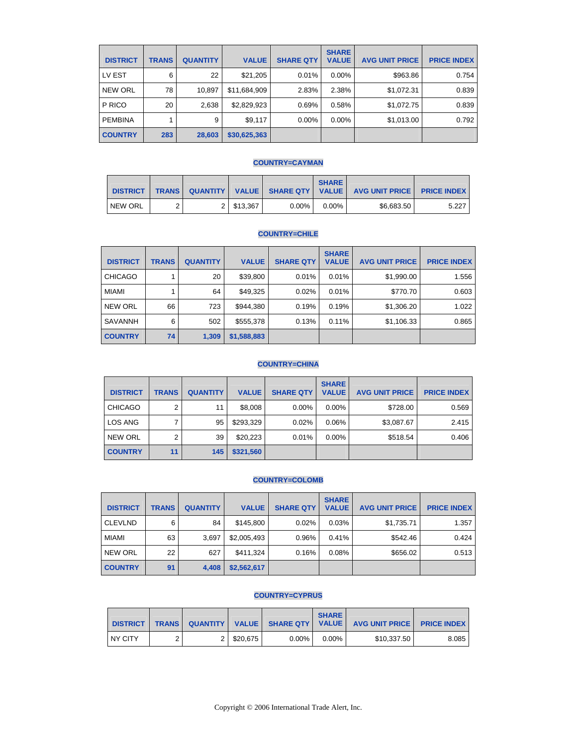| <b>DISTRICT</b> | <b>TRANS</b> | <b>QUANTITY</b> | <b>VALUE</b> | <b>SHARE QTY</b> | <b>SHARE</b><br><b>VALUE</b> | <b>AVG UNIT PRICE</b> | <b>PRICE INDEX</b> |
|-----------------|--------------|-----------------|--------------|------------------|------------------------------|-----------------------|--------------------|
| LV EST          | 6            | 22              | \$21,205     | 0.01%            | $0.00\%$                     | \$963.86              | 0.754              |
| <b>NEW ORL</b>  | 78           | 10,897          | \$11,684,909 | 2.83%            | 2.38%                        | \$1,072.31            | 0.839              |
| P RICO          | 20           | 2,638           | \$2,829,923  | 0.69%            | 0.58%                        | \$1,072.75            | 0.839              |
| <b>PEMBINA</b>  |              | 9               | \$9,117      | $0.00\%$         | $0.00\%$                     | \$1,013.00            | 0.792              |
| <b>COUNTRY</b>  | 283          | 28,603          | \$30,625,363 |                  |                              |                       |                    |

## **COUNTRY=CAYMAN**

| <b>DISTRICT</b> | <b>TRANS</b> |           | QUANTITY   VALUE   SHARE QTY   VALUE | <b>SHARE</b> | <b>AVG UNIT PRICE I</b> | <b>PRICE INDEX</b> |
|-----------------|--------------|-----------|--------------------------------------|--------------|-------------------------|--------------------|
| <b>NEW ORL</b>  |              | 2 513.367 | $0.00\%$                             | $0.00\%$     | \$6.683.50              | 5.227              |

## **COUNTRY=CHILE**

| <b>DISTRICT</b> | <b>TRANS</b> | <b>QUANTITY</b> | <b>VALUE</b> | <b>SHARE QTY</b> | <b>SHARE</b><br><b>VALUE</b> | <b>AVG UNIT PRICE</b> | <b>PRICE INDEX</b> |
|-----------------|--------------|-----------------|--------------|------------------|------------------------------|-----------------------|--------------------|
| <b>CHICAGO</b>  |              | 20              | \$39,800     | 0.01%            | 0.01%                        | \$1,990.00            | 1.556              |
| <b>MIAMI</b>    |              | 64              | \$49,325     | 0.02%            | 0.01%                        | \$770.70              | 0.603              |
| <b>NEW ORL</b>  | 66           | 723             | \$944,380    | 0.19%            | 0.19%                        | \$1,306.20            | 1.022              |
| <b>SAVANNH</b>  | 6            | 502             | \$555,378    | 0.13%            | 0.11%                        | \$1,106.33            | 0.865              |
| <b>COUNTRY</b>  | 74           | 1,309           | \$1,588,883  |                  |                              |                       |                    |

## **COUNTRY=CHINA**

| <b>DISTRICT</b> | <b>TRANS</b> | <b>QUANTITY</b> | <b>VALUE</b> | <b>SHARE QTY</b> | <b>SHARE</b><br><b>VALUE</b> | <b>AVG UNIT PRICE</b> | <b>PRICE INDEX</b> |
|-----------------|--------------|-----------------|--------------|------------------|------------------------------|-----------------------|--------------------|
| <b>CHICAGO</b>  | っ            | 11              | \$8,008      | $0.00\%$         | $0.00\%$                     | \$728.00              | 0.569              |
| LOS ANG         |              | 95              | \$293.329    | 0.02%            | 0.06%                        | \$3,087.67            | 2.415              |
| <b>NEW ORL</b>  | 2            | 39              | \$20,223     | 0.01%            | $0.00\%$                     | \$518.54              | 0.406              |
| <b>COUNTRY</b>  | 11           | 145             | \$321,560    |                  |                              |                       |                    |

## **COUNTRY=COLOMB**

| <b>DISTRICT</b> | <b>TRANS</b> | <b>QUANTITY</b> | <b>VALUE</b> | <b>SHARE QTY</b> | <b>SHARE</b><br><b>VALUE</b> | <b>AVG UNIT PRICE</b> | <b>PRICE INDEX</b> |
|-----------------|--------------|-----------------|--------------|------------------|------------------------------|-----------------------|--------------------|
| <b>CLEVLND</b>  | 6            | 84              | \$145.800    | 0.02%            | 0.03%                        | \$1,735.71            | 1.357              |
| MIAMI           | 63           | 3,697           | \$2,005,493  | 0.96%            | 0.41%                        | \$542.46              | 0.424              |
| <b>NEW ORL</b>  | 22           | 627             | \$411,324    | 0.16%            | 0.08%                        | \$656.02              | 0.513              |
| <b>COUNTRY</b>  | 91           | 4,408           | \$2,562,617  |                  |                              |                       |                    |

#### **COUNTRY=CYPRUS**

| <b>DISTRICT</b> |  |          |          | <b>SHARE</b> | TRANS QUANTITY VALUE SHARE QTY VALUE AVG UNIT PRICE PRICE INDEX |       |
|-----------------|--|----------|----------|--------------|-----------------------------------------------------------------|-------|
| <b>NY CITY</b>  |  | \$20.675 | $0.00\%$ | $0.00\%$     | \$10.337.50                                                     | 8.085 |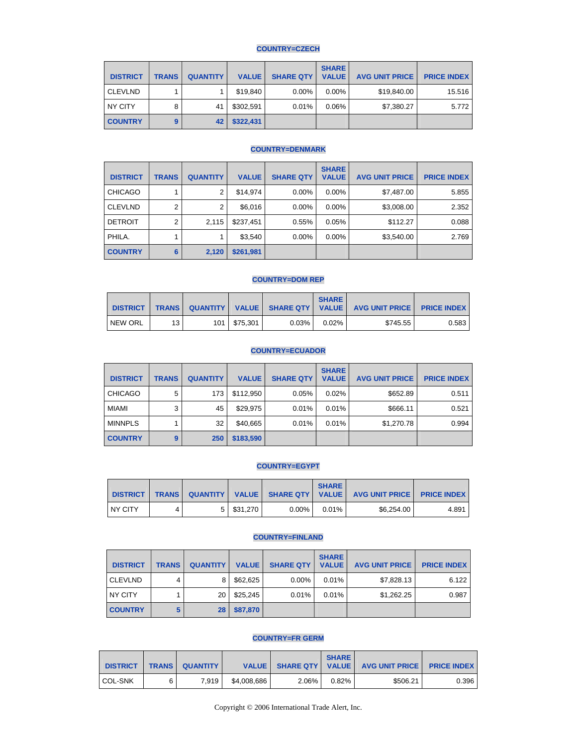## **COUNTRY=CZECH**

| <b>DISTRICT</b> | <b>TRANS</b> | <b>QUANTITY</b> | <b>VALUE</b> | <b>SHARE QTY</b> | <b>SHARE</b><br><b>VALUE</b> | <b>AVG UNIT PRICE</b> | <b>PRICE INDEX</b> |
|-----------------|--------------|-----------------|--------------|------------------|------------------------------|-----------------------|--------------------|
| <b>CLEVLND</b>  |              |                 | \$19,840     | $0.00\%$         | $0.00\%$                     | \$19,840.00           | 15.516             |
| NY CITY         | 8            | 41              | \$302.591    | 0.01%            | 0.06%                        | \$7,380.27            | 5.772              |
| <b>COUNTRY</b>  |              | 42              | \$322,431    |                  |                              |                       |                    |

### **COUNTRY=DENMARK**

| <b>DISTRICT</b> | <b>TRANS</b> | <b>QUANTITY</b> | <b>VALUE</b> | <b>SHARE QTY</b> | <b>SHARE</b><br><b>VALUE</b> | <b>AVG UNIT PRICE</b> | <b>PRICE INDEX</b> |
|-----------------|--------------|-----------------|--------------|------------------|------------------------------|-----------------------|--------------------|
| <b>CHICAGO</b>  |              | $\overline{2}$  | \$14.974     | $0.00\%$         | $0.00\%$                     | \$7,487.00            | 5.855              |
| <b>CLEVLND</b>  | 2            | $\overline{2}$  | \$6,016      | $0.00\%$         | $0.00\%$                     | \$3,008.00            | 2.352              |
| <b>DETROIT</b>  | 2            | 2.115           | \$237,451    | 0.55%            | 0.05%                        | \$112.27              | 0.088              |
| PHILA.          |              |                 | \$3,540      | $0.00\%$         | $0.00\%$                     | \$3,540.00            | 2.769              |
| <b>COUNTRY</b>  | 6            | 2,120           | \$261,981    |                  |                              |                       |                    |

## **COUNTRY=DOM REP**

| <b>DISTRICT</b> | <b>TRANS</b> |       |          |          | <b>SHARE</b> | QUANTITY   VALUE   SHARE QTY   VALUE   AVG UNIT PRICE   PRICE INDEX |       |
|-----------------|--------------|-------|----------|----------|--------------|---------------------------------------------------------------------|-------|
| NEW ORL         | 13           | 101 I | \$75.301 | $0.03\%$ | $0.02\%$     | \$745.55                                                            | 0.583 |

## **COUNTRY=ECUADOR**

| <b>DISTRICT</b> | <b>TRANS</b> | <b>QUANTITY</b> | <b>VALUE</b> | <b>SHARE QTY</b> | <b>SHARE</b><br><b>VALUE</b> | <b>AVG UNIT PRICE</b> | <b>PRICE INDEX</b> |
|-----------------|--------------|-----------------|--------------|------------------|------------------------------|-----------------------|--------------------|
| <b>CHICAGO</b>  | 5            | 173             | \$112,950    | 0.05%            | 0.02%                        | \$652.89              | 0.511              |
| <b>MIAMI</b>    | 3            | 45              | \$29,975     | 0.01%            | 0.01%                        | \$666.11              | 0.521              |
| <b>MINNPLS</b>  |              | 32              | \$40,665     | 0.01%            | 0.01%                        | \$1,270.78            | 0.994              |
| <b>COUNTRY</b>  | 9            | 250             | \$183,590    |                  |                              |                       |                    |

## **COUNTRY=EGYPT**

| <b>DISTRICT</b> |  |          |          | <b>SHARE</b> | TRANS QUANTITY   VALUE   SHARE QTY   VALUE   AVG UNIT PRICE   PRICE INDEX |       |
|-----------------|--|----------|----------|--------------|---------------------------------------------------------------------------|-------|
| NY CITY         |  | \$31,270 | $0.00\%$ | $0.01\%$     | \$6,254.00                                                                | 4.891 |

#### **COUNTRY=FINLAND**

| <b>DISTRICT</b> | <b>TRANS</b> | <b>QUANTITY</b> | <b>VALUE</b> | <b>SHARE QTY</b> | <b>SHARE</b><br><b>VALUE</b> | <b>AVG UNIT PRICE</b> | <b>PRICE INDEX</b> |
|-----------------|--------------|-----------------|--------------|------------------|------------------------------|-----------------------|--------------------|
| <b>CLEVLND</b>  |              | 8               | \$62,625     | 0.00%            | 0.01%                        | \$7,828.13            | 6.122              |
| NY CITY         |              | 20              | \$25,245     | 0.01%            | 0.01%                        | \$1,262.25            | 0.987              |
| <b>COUNTRY</b>  |              | 28              | \$87,870     |                  |                              |                       |                    |

## **COUNTRY=FR GERM**

| <b>DISTRICT</b> | <b>TRANS</b> | <b>QUANTITY</b> I | <b>VALUE</b> |       | <b>SHARE</b> | SHARE QTY   VALUE   AVG UNIT PRICE   PRICE INDEX |       |
|-----------------|--------------|-------------------|--------------|-------|--------------|--------------------------------------------------|-------|
| <b>COL-SNK</b>  | 6            | 7.919             | \$4.008.686  | 2.06% | 0.82%        | \$506.21                                         | 0.396 |

Copyright © 2006 International Trade Alert, Inc.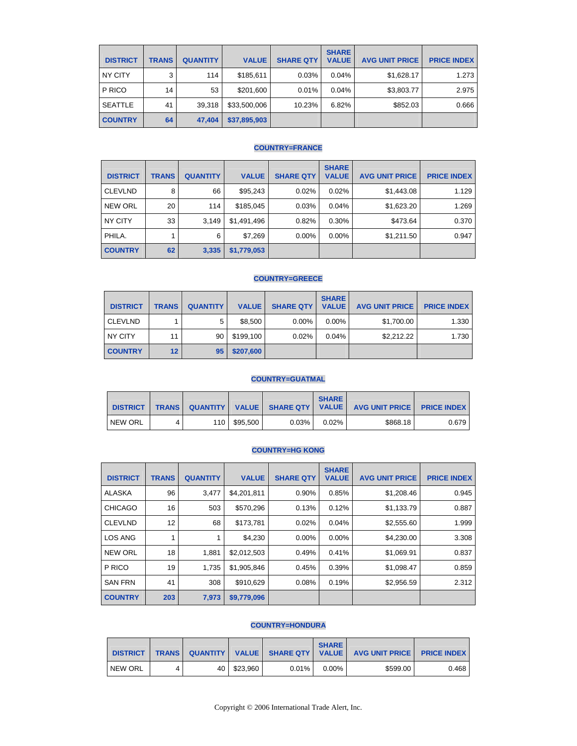| <b>DISTRICT</b> | <b>TRANS</b> | <b>QUANTITY</b> | <b>VALUE</b> | <b>SHARE QTY</b> | <b>SHARE</b><br><b>VALUE</b> | <b>AVG UNIT PRICE</b> | <b>PRICE INDEX</b> |
|-----------------|--------------|-----------------|--------------|------------------|------------------------------|-----------------------|--------------------|
| NY CITY         | 3            | 114             | \$185,611    | 0.03%            | 0.04%                        | \$1,628.17            | 1.273              |
| P RICO          | 14           | 53              | \$201,600    | 0.01%            | 0.04%                        | \$3,803.77            | 2.975              |
| <b>SEATTLE</b>  | 41           | 39,318          | \$33,500,006 | 10.23%           | 6.82%                        | \$852.03              | 0.666              |
| <b>COUNTRY</b>  | 64           | 47,404          | \$37,895,903 |                  |                              |                       |                    |

### **COUNTRY=FRANCE**

| <b>DISTRICT</b> | <b>TRANS</b> | <b>QUANTITY</b> | <b>VALUE</b> | <b>SHARE QTY</b> | <b>SHARE</b><br><b>VALUE</b> | <b>AVG UNIT PRICE</b> | <b>PRICE INDEX</b> |
|-----------------|--------------|-----------------|--------------|------------------|------------------------------|-----------------------|--------------------|
| <b>CLEVLND</b>  | 8            | 66              | \$95,243     | 0.02%            | 0.02%                        | \$1,443.08            | 1.129              |
| <b>NEW ORL</b>  | 20           | 114             | \$185,045    | 0.03%            | 0.04%                        | \$1,623.20            | 1.269              |
| NY CITY         | 33           | 3.149           | \$1,491,496  | 0.82%            | 0.30%                        | \$473.64              | 0.370              |
| PHILA.          |              | 6               | \$7,269      | $0.00\%$         | $0.00\%$                     | \$1,211.50            | 0.947              |
| <b>COUNTRY</b>  | 62           | 3,335           | \$1,779,053  |                  |                              |                       |                    |

## **COUNTRY=GREECE**

| <b>DISTRICT</b> | <b>TRANS</b>    | <b>QUANTITY</b> | <b>VALUE</b> | <b>SHARE QTY</b> | <b>SHARE</b><br><b>VALUE</b> | <b>AVG UNIT PRICE</b> | <b>PRICE INDEX</b> |
|-----------------|-----------------|-----------------|--------------|------------------|------------------------------|-----------------------|--------------------|
| <b>CLEVLND</b>  |                 | 5               | \$8,500      | $0.00\%$         | $0.00\%$                     | \$1,700.00            | 1.330              |
| NY CITY         | 11              | 90              | \$199,100    | 0.02%            | 0.04%                        | \$2,212.22            | 1.730              |
| <b>COUNTRY</b>  | 12 <sub>2</sub> | 95              | \$207,600    |                  |                              |                       |                    |

## **COUNTRY=GUATMAL**

| <b>DISTRICT</b> |  |                |       | <b>SHARE</b> | TRANS QUANTITY VALUE SHARE QTY VALUE AVG UNIT PRICE | <b>PRICE INDEX</b> |
|-----------------|--|----------------|-------|--------------|-----------------------------------------------------|--------------------|
| <b>NEW ORL</b>  |  | 110   \$95,500 | 0.03% | 0.02%        | \$868.18                                            | 0.6791             |

## **COUNTRY=HG KONG**

| <b>DISTRICT</b> | <b>TRANS</b> | <b>QUANTITY</b> | <b>VALUE</b> | <b>SHARE QTY</b> | <b>SHARE</b><br><b>VALUE</b> | <b>AVG UNIT PRICE</b> | <b>PRICE INDEX</b> |
|-----------------|--------------|-----------------|--------------|------------------|------------------------------|-----------------------|--------------------|
| ALASKA          | 96           | 3,477           | \$4,201,811  | 0.90%            | 0.85%                        | \$1,208.46            | 0.945              |
| <b>CHICAGO</b>  | 16           | 503             | \$570,296    | 0.13%            | 0.12%                        | \$1,133.79            | 0.887              |
| <b>CLEVLND</b>  | 12           | 68              | \$173,781    | 0.02%            | 0.04%                        | \$2,555.60            | 1.999              |
| <b>LOS ANG</b>  | 1            |                 | \$4,230      | 0.00%            | 0.00%                        | \$4,230.00            | 3.308              |
| <b>NEW ORL</b>  | 18           | 1,881           | \$2,012,503  | 0.49%            | 0.41%                        | \$1,069.91            | 0.837              |
| P RICO          | 19           | 1,735           | \$1,905,846  | 0.45%            | 0.39%                        | \$1,098.47            | 0.859              |
| <b>SAN FRN</b>  | 41           | 308             | \$910,629    | 0.08%            | 0.19%                        | \$2,956.59            | 2.312              |
| <b>COUNTRY</b>  | 203          | 7,973           | \$9,779,096  |                  |                              |                       |                    |

#### **COUNTRY=HONDURA**

| <b>DISTRICT</b> | <b>TRANS QUANTITY</b> |          |       | <b>SHARE</b> | VALUE SHARE QTY   VALUE   AVG UNIT PRICE   PRICE INDEX |       |
|-----------------|-----------------------|----------|-------|--------------|--------------------------------------------------------|-------|
| <b>NEW ORL</b>  | 40'                   | \$23.960 | 0.01% | $0.00\%$     | \$599.00                                               | 0.468 |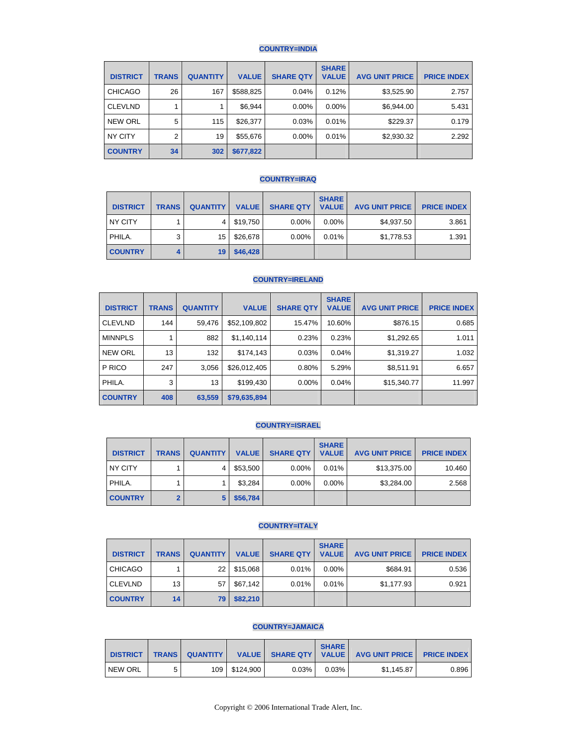## **COUNTRY=INDIA**

| <b>DISTRICT</b> | <b>TRANS</b>   | <b>QUANTITY</b> | <b>VALUE</b> | <b>SHARE QTY</b> | <b>SHARE</b><br><b>VALUE</b> | <b>AVG UNIT PRICE</b> | <b>PRICE INDEX</b> |
|-----------------|----------------|-----------------|--------------|------------------|------------------------------|-----------------------|--------------------|
| <b>CHICAGO</b>  | 26             | 167             | \$588,825    | 0.04%            | 0.12%                        | \$3,525.90            | 2.757              |
| <b>CLEVLND</b>  |                |                 | \$6,944      | $0.00\%$         | $0.00\%$                     | \$6,944.00            | 5.431              |
| <b>NEW ORL</b>  | 5              | 115             | \$26,377     | 0.03%            | 0.01%                        | \$229.37              | 0.179              |
| NY CITY         | $\overline{2}$ | 19              | \$55,676     | $0.00\%$         | 0.01%                        | \$2,930.32            | 2.292              |
| <b>COUNTRY</b>  | 34             | 302             | \$677,822    |                  |                              |                       |                    |

## **COUNTRY=IRAQ**

| <b>DISTRICT</b> | <b>TRANS</b> | <b>QUANTITY</b> | <b>VALUE</b> | <b>SHARE QTY</b> | <b>SHARE</b><br><b>VALUE</b> | <b>AVG UNIT PRICE</b> | <b>PRICE INDEX</b> |
|-----------------|--------------|-----------------|--------------|------------------|------------------------------|-----------------------|--------------------|
| NY CITY         |              | 4               | \$19,750     | 0.00%            | $0.00\%$                     | \$4.937.50            | 3.861              |
| PHILA.          | 3            | 15              | \$26,678     | 0.00%            | 0.01%                        | \$1,778.53            | 1.391              |
| <b>COUNTRY</b>  |              | 19              | \$46,428     |                  |                              |                       |                    |

## **COUNTRY=IRELAND**

| <b>DISTRICT</b> | <b>TRANS</b> | <b>QUANTITY</b> | <b>VALUE</b> | <b>SHARE QTY</b> | <b>SHARE</b><br><b>VALUE</b> | <b>AVG UNIT PRICE</b> | <b>PRICE INDEX</b> |
|-----------------|--------------|-----------------|--------------|------------------|------------------------------|-----------------------|--------------------|
| <b>CLEVLND</b>  | 144          | 59,476          | \$52,109,802 | 15.47%           | 10.60%                       | \$876.15              | 0.685              |
| <b>MINNPLS</b>  |              | 882             | \$1,140,114  | 0.23%            | 0.23%                        | \$1,292.65            | 1.011              |
| <b>NEW ORL</b>  | 13           | 132             | \$174,143    | 0.03%            | 0.04%                        | \$1,319.27            | 1.032              |
| P RICO          | 247          | 3,056           | \$26,012,405 | 0.80%            | 5.29%                        | \$8,511.91            | 6.657              |
| PHILA.          | 3            | 13              | \$199,430    | 0.00%            | 0.04%                        | \$15,340.77           | 11.997             |
| <b>COUNTRY</b>  | 408          | 63,559          | \$79,635,894 |                  |                              |                       |                    |

## **COUNTRY=ISRAEL**

| <b>DISTRICT</b> | <b>TRANS</b> | <b>QUANTITY</b> | <b>VALUE</b> | <b>SHARE QTY</b> | <b>SHARE</b><br><b>VALUE</b> | <b>AVG UNIT PRICE</b> | <b>PRICE INDEX</b> |
|-----------------|--------------|-----------------|--------------|------------------|------------------------------|-----------------------|--------------------|
| NY CITY         |              | 4               | \$53,500     | $0.00\%$         | 0.01%                        | \$13,375.00           | 10.460             |
| PHILA.          |              |                 | \$3,284      | $0.00\%$         | $0.00\%$                     | \$3,284.00            | 2.568              |
| <b>COUNTRY</b>  |              | 5               | \$56,784     |                  |                              |                       |                    |

## **COUNTRY=ITALY**

| <b>DISTRICT</b> | <b>TRANS</b> | <b>QUANTITY</b> | <b>VALUE</b> | <b>SHARE QTY</b> | <b>SHARE</b><br><b>VALUE</b> | <b>AVG UNIT PRICE</b> | <b>PRICE INDEX</b> |
|-----------------|--------------|-----------------|--------------|------------------|------------------------------|-----------------------|--------------------|
| <b>CHICAGO</b>  |              | 22              | \$15.068     | 0.01%            | $0.00\%$                     | \$684.91              | 0.536              |
| <b>CLEVLND</b>  | 13           | 57              | \$67.142     | 0.01%            | 0.01%                        | \$1,177.93            | 0.921              |
| <b>COUNTRY</b>  | 14           | 79              | \$82,210     |                  |                              |                       |                    |

## **COUNTRY=JAMAICA**

| <b>DISTRICT</b> | <b>TRANS</b> | <b>QUANTITY</b> |                 |       | <b>SHARE</b> | VALUE SHARE QTY   VALUE   AVG UNIT PRICE   PRICE INDEX |       |
|-----------------|--------------|-----------------|-----------------|-------|--------------|--------------------------------------------------------|-------|
| NEW ORL         |              |                 | 109   \$124.900 | 0.03% | 0.03%        | \$1.145.87                                             | 0.896 |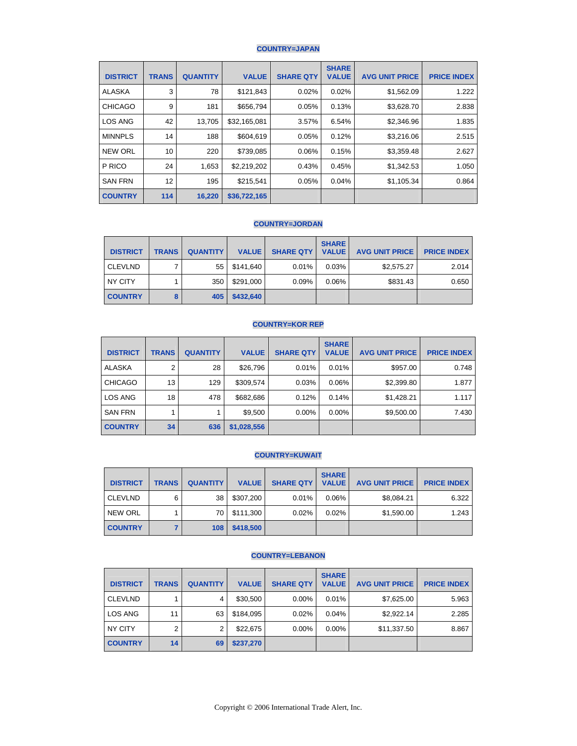## **COUNTRY=JAPAN**

| <b>DISTRICT</b> | <b>TRANS</b> | <b>QUANTITY</b> | <b>VALUE</b> | <b>SHARE QTY</b> | <b>SHARE</b><br><b>VALUE</b> | <b>AVG UNIT PRICE</b> | <b>PRICE INDEX</b> |
|-----------------|--------------|-----------------|--------------|------------------|------------------------------|-----------------------|--------------------|
| <b>ALASKA</b>   | 3            | 78              | \$121,843    | 0.02%            | 0.02%                        | \$1,562.09            | 1.222              |
| <b>CHICAGO</b>  | 9            | 181             | \$656,794    | 0.05%            | 0.13%                        | \$3,628.70            | 2.838              |
| <b>LOS ANG</b>  | 42           | 13,705          | \$32,165,081 | 3.57%            | 6.54%                        | \$2,346.96            | 1.835              |
| <b>MINNPLS</b>  | 14           | 188             | \$604,619    | 0.05%            | 0.12%                        | \$3,216.06            | 2.515              |
| <b>NEW ORL</b>  | 10           | 220             | \$739,085    | 0.06%            | 0.15%                        | \$3,359.48            | 2.627              |
| P RICO          | 24           | 1,653           | \$2,219,202  | 0.43%            | 0.45%                        | \$1,342.53            | 1.050              |
| <b>SAN FRN</b>  | 12           | 195             | \$215,541    | 0.05%            | 0.04%                        | \$1,105.34            | 0.864              |
| <b>COUNTRY</b>  | 114          | 16,220          | \$36,722,165 |                  |                              |                       |                    |

## **COUNTRY=JORDAN**

| <b>DISTRICT</b> | <b>TRANS</b> | <b>QUANTITY</b> | <b>VALUE</b> | <b>SHARE QTY</b> | <b>SHARE</b><br><b>VALUE</b> | <b>AVG UNIT PRICE</b> | <b>PRICE INDEX</b> |
|-----------------|--------------|-----------------|--------------|------------------|------------------------------|-----------------------|--------------------|
| <b>CLEVLND</b>  |              | 551             | \$141.640    | 0.01%            | 0.03%                        | \$2,575.27            | 2.014              |
| NY CITY         |              | 350             | \$291.000    | 0.09%            | 0.06%                        | \$831.43              | 0.650              |
| <b>COUNTRY</b>  |              | 405             | \$432,640    |                  |                              |                       |                    |

#### **COUNTRY=KOR REP**

| <b>DISTRICT</b> | <b>TRANS</b> | <b>QUANTITY</b> | <b>VALUE</b> | <b>SHARE QTY</b> | <b>SHARE</b><br><b>VALUE</b> | <b>AVG UNIT PRICE</b> | <b>PRICE INDEX</b> |
|-----------------|--------------|-----------------|--------------|------------------|------------------------------|-----------------------|--------------------|
| <b>ALASKA</b>   | 2            | 28              | \$26,796     | 0.01%            | 0.01%                        | \$957.00              | 0.748              |
| <b>CHICAGO</b>  | 13           | 129             | \$309,574    | 0.03%            | 0.06%                        | \$2,399.80            | 1.877              |
| LOS ANG         | 18           | 478             | \$682,686    | 0.12%            | 0.14%                        | \$1.428.21            | 1.117              |
| <b>SAN FRN</b>  |              |                 | \$9,500      | $0.00\%$         | $0.00\%$                     | \$9,500.00            | 7.430              |
| <b>COUNTRY</b>  | 34           | 636             | \$1,028,556  |                  |                              |                       |                    |

# **COUNTRY=KUWAIT**

| <b>DISTRICT</b> | <b>TRANS</b> | <b>QUANTITY</b> | <b>VALUE</b> | <b>SHARE QTY</b> | <b>SHARE</b><br><b>VALUE</b> | <b>AVG UNIT PRICE</b> | <b>PRICE INDEX</b> |
|-----------------|--------------|-----------------|--------------|------------------|------------------------------|-----------------------|--------------------|
| <b>CLEVLND</b>  | 6            | 38              | \$307,200    | 0.01%            | 0.06%                        | \$8,084.21            | 6.322              |
| <b>NEW ORL</b>  |              | 70              | \$111,300    | 0.02%            | 0.02%                        | \$1,590.00            | 1.243              |
| <b>COUNTRY</b>  |              | 108             | \$418,500    |                  |                              |                       |                    |

## **COUNTRY=LEBANON**

| <b>DISTRICT</b> | <b>TRANS</b> | <b>QUANTITY</b> | <b>VALUE</b> | <b>SHARE QTY</b> | <b>SHARE</b><br><b>VALUE</b> | <b>AVG UNIT PRICE</b> | <b>PRICE INDEX</b> |
|-----------------|--------------|-----------------|--------------|------------------|------------------------------|-----------------------|--------------------|
| <b>CLEVLND</b>  |              | 4               | \$30,500     | $0.00\%$         | 0.01%                        | \$7,625.00            | 5.963              |
| LOS ANG         | 11           | 63              | \$184,095    | 0.02%            | 0.04%                        | \$2,922.14            | 2.285              |
| NY CITY         | 2            | 2               | \$22,675     | $0.00\%$         | $0.00\%$                     | \$11,337.50           | 8.867              |
| <b>COUNTRY</b>  | 14           | 69              | \$237,270    |                  |                              |                       |                    |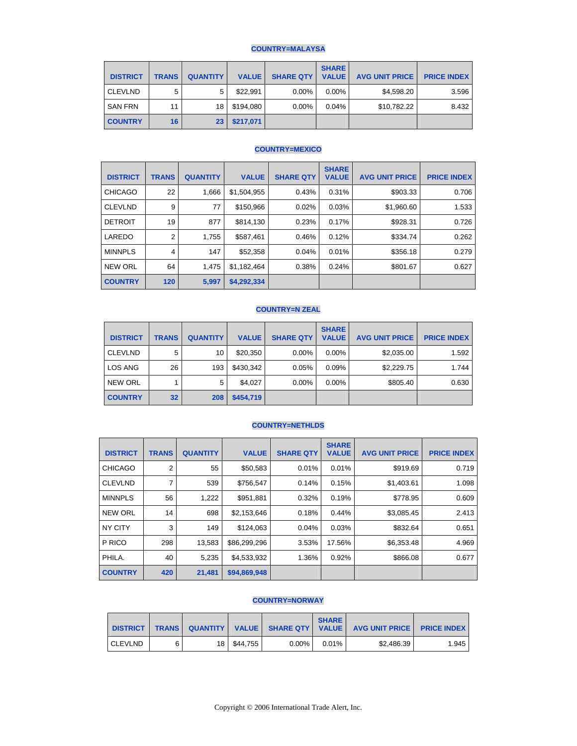## **COUNTRY=MALAYSA**

| <b>DISTRICT</b> | <b>TRANS</b> | <b>QUANTITY</b> | <b>VALUE</b> | <b>SHARE QTY</b> | <b>SHARE</b><br><b>VALUE</b> | <b>AVG UNIT PRICE</b> | <b>PRICE INDEX</b> |
|-----------------|--------------|-----------------|--------------|------------------|------------------------------|-----------------------|--------------------|
| <b>CLEVLND</b>  | 5            | 5               | \$22,991     | $0.00\%$         | $0.00\%$                     | \$4.598.20            | 3.596              |
| <b>SAN FRN</b>  | 11           | 18              | \$194.080    | $0.00\%$         | 0.04%                        | \$10,782.22           | 8.432              |
| <b>COUNTRY</b>  | 16           | 23              | \$217,071    |                  |                              |                       |                    |

# **COUNTRY=MEXICO**

| <b>DISTRICT</b> | <b>TRANS</b>   | <b>QUANTITY</b> | <b>VALUE</b> | <b>SHARE QTY</b> | <b>SHARE</b><br><b>VALUE</b> | <b>AVG UNIT PRICE</b> | <b>PRICE INDEX</b> |
|-----------------|----------------|-----------------|--------------|------------------|------------------------------|-----------------------|--------------------|
| <b>CHICAGO</b>  | 22             | 1,666           | \$1,504,955  | 0.43%            | 0.31%                        | \$903.33              | 0.706              |
| <b>CLEVLND</b>  | 9              | 77              | \$150,966    | 0.02%            | 0.03%                        | \$1,960.60            | 1.533              |
| <b>DETROIT</b>  | 19             | 877             | \$814,130    | 0.23%            | 0.17%                        | \$928.31              | 0.726              |
| LAREDO          | $\overline{2}$ | 1,755           | \$587,461    | 0.46%            | 0.12%                        | \$334.74              | 0.262              |
| <b>MINNPLS</b>  | 4              | 147             | \$52,358     | 0.04%            | 0.01%                        | \$356.18              | 0.279              |
| <b>NEW ORL</b>  | 64             | 1,475           | \$1,182,464  | 0.38%            | 0.24%                        | \$801.67              | 0.627              |
| <b>COUNTRY</b>  | 120            | 5,997           | \$4,292,334  |                  |                              |                       |                    |

#### **COUNTRY=N ZEAL**

| <b>DISTRICT</b> | <b>TRANS</b> | <b>QUANTITY</b> | <b>VALUE</b> | <b>SHARE QTY</b> | <b>SHARE</b><br><b>VALUE</b> | <b>AVG UNIT PRICE</b> | <b>PRICE INDEX</b> |
|-----------------|--------------|-----------------|--------------|------------------|------------------------------|-----------------------|--------------------|
| <b>CLEVLND</b>  | 5            | 10              | \$20,350     | $0.00\%$         | $0.00\%$                     | \$2,035.00            | 1.592              |
| LOS ANG         | 26           | 193             | \$430,342    | 0.05%            | 0.09%                        | \$2,229.75            | 1.744              |
| <b>NEW ORL</b>  |              | 5               | \$4,027      | $0.00\%$         | $0.00\%$                     | \$805.40              | 0.630              |
| <b>COUNTRY</b>  | 32           | 208             | \$454,719    |                  |                              |                       |                    |

### **COUNTRY=NETHLDS**

| <b>DISTRICT</b> | <b>TRANS</b> | <b>QUANTITY</b> | <b>VALUE</b> | <b>SHARE QTY</b> | <b>SHARE</b><br><b>VALUE</b> | <b>AVG UNIT PRICE</b> | <b>PRICE INDEX</b> |
|-----------------|--------------|-----------------|--------------|------------------|------------------------------|-----------------------|--------------------|
| <b>CHICAGO</b>  | 2            | 55              | \$50,583     | 0.01%            | 0.01%                        | \$919.69              | 0.719              |
| <b>CLEVLND</b>  | 7            | 539             | \$756,547    | 0.14%            | 0.15%                        | \$1,403.61            | 1.098              |
| <b>MINNPLS</b>  | 56           | 1,222           | \$951,881    | 0.32%            | 0.19%                        | \$778.95              | 0.609              |
| <b>NEW ORL</b>  | 14           | 698             | \$2,153,646  | 0.18%            | 0.44%                        | \$3,085.45            | 2.413              |
| <b>NY CITY</b>  | 3            | 149             | \$124,063    | 0.04%            | 0.03%                        | \$832.64              | 0.651              |
| P RICO          | 298          | 13,583          | \$86,299,296 | 3.53%            | 17.56%                       | \$6,353.48            | 4.969              |
| PHILA.          | 40           | 5,235           | \$4,533,932  | 1.36%            | 0.92%                        | \$866.08              | 0.677              |
| <b>COUNTRY</b>  | 420          | 21,481          | \$94,869,948 |                  |                              |                       |                    |

#### **COUNTRY=NORWAY**

| <b>DISTRICT</b> | <b>TRANS</b> |                 |          |          | <b>SHARE</b> | QUANTITY   VALUE   SHARE QTY   VALUE   AVG UNIT PRICE | <b>PRICE INDEX</b> |
|-----------------|--------------|-----------------|----------|----------|--------------|-------------------------------------------------------|--------------------|
| <b>CLEVLND</b>  |              | 18 <sub>1</sub> | \$44.755 | $0.00\%$ | $0.01\%$     | \$2.486.39                                            | 1.945              |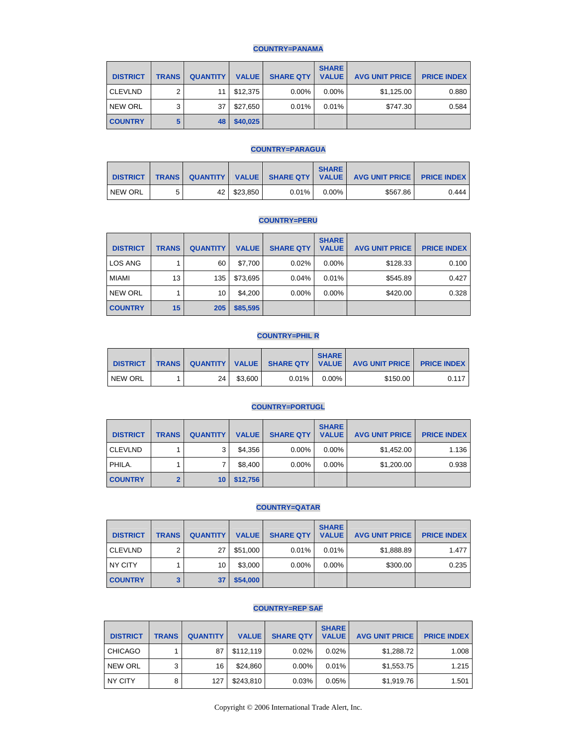## **COUNTRY=PANAMA**

| <b>DISTRICT</b> | <b>TRANS</b> | <b>QUANTITY</b> | <b>VALUE</b> | <b>SHARE QTY</b> | <b>SHARE</b><br><b>VALUE</b> | <b>AVG UNIT PRICE</b> | <b>PRICE INDEX</b> |
|-----------------|--------------|-----------------|--------------|------------------|------------------------------|-----------------------|--------------------|
| <b>CLEVLND</b>  | ◠            | 11              | \$12,375     | 0.00%            | $0.00\%$                     | \$1,125.00            | 0.880              |
| <b>NEW ORL</b>  | 3            | 37              | \$27,650     | 0.01%            | 0.01%                        | \$747.30              | 0.584              |
| <b>COUNTRY</b>  |              | 48 I            | \$40,025     |                  |                              |                       |                    |

### **COUNTRY=PARAGUA**

| <b>DISTRICT</b> | <b>TRANS</b> | QUANTITY        |          |       | <b>SHARE</b> | VALUE SHARE QTY   VALUE   AVG UNIT PRICE   PRICE INDEX |       |
|-----------------|--------------|-----------------|----------|-------|--------------|--------------------------------------------------------|-------|
| NEW ORL         |              | 42 <sup>1</sup> | \$23.850 | 0.01% | $0.00\%$     | \$567.86                                               | 0.444 |

#### **COUNTRY=PERU**

| <b>DISTRICT</b> | <b>TRANS</b> | <b>QUANTITY</b> | <b>VALUE</b> | <b>SHARE QTY</b> | <b>SHARE</b><br><b>VALUE</b> | <b>AVG UNIT PRICE</b> | <b>PRICE INDEX</b> |
|-----------------|--------------|-----------------|--------------|------------------|------------------------------|-----------------------|--------------------|
| <b>LOS ANG</b>  |              | 60              | \$7.700      | 0.02%            | $0.00\%$                     | \$128.33              | 0.100              |
| MIAMI           | 13           | 135             | \$73,695     | 0.04%            | 0.01%                        | \$545.89              | 0.427              |
| <b>NEW ORL</b>  |              | 10              | \$4.200      | $0.00\%$         | $0.00\%$                     | \$420.00              | 0.328              |
| <b>COUNTRY</b>  | 15           | 205             | \$85,595     |                  |                              |                       |                    |

## **COUNTRY=PHIL R**

| <b>DISTRICT</b> | <b>TRANS</b> |      |         |          | <b>SHARE</b> | QUANTITY   VALUE   SHARE QTY   VALUE   AVG UNIT PRICE   PRICE INDEX |       |
|-----------------|--------------|------|---------|----------|--------------|---------------------------------------------------------------------|-------|
| <b>NEW ORL</b>  |              | 24 I | \$3.600 | $0.01\%$ | $0.00\%$     | \$150.00                                                            | 0.117 |

#### **COUNTRY=PORTUGL**

| <b>DISTRICT</b> | <b>TRANS</b> | <b>QUANTITY</b> | <b>VALUE</b> | <b>SHARE QTY</b> | <b>SHARE</b><br><b>VALUE</b> | <b>AVG UNIT PRICE</b> | <b>PRICE INDEX</b> |
|-----------------|--------------|-----------------|--------------|------------------|------------------------------|-----------------------|--------------------|
| <b>CLEVLND</b>  |              | 3               | \$4,356      | 0.00%            | $0.00\%$                     | \$1,452.00            | 1.136              |
| PHILA.          |              |                 | \$8.400      | 0.00%            | $0.00\%$                     | \$1,200.00            | 0.938              |
| <b>COUNTRY</b>  |              | 10              | \$12,756     |                  |                              |                       |                    |

## **COUNTRY=QATAR**

| <b>DISTRICT</b> | <b>TRANS</b> | <b>QUANTITY</b> | <b>VALUE</b> | <b>SHARE QTY</b> | <b>SHARE</b><br><b>VALUE</b> | <b>AVG UNIT PRICE</b> | <b>PRICE INDEX</b> |
|-----------------|--------------|-----------------|--------------|------------------|------------------------------|-----------------------|--------------------|
| <b>CLEVLND</b>  | ົ            | 27              | \$51,000     | 0.01%            | 0.01%                        | \$1,888.89            | 1.477              |
| NY CITY         |              | 10              | \$3,000      | 0.00%            | $0.00\%$                     | \$300.00              | 0.235              |
| <b>COUNTRY</b>  |              | 37              | \$54,000     |                  |                              |                       |                    |

#### **COUNTRY=REP SAF**

| <b>DISTRICT</b> | <b>TRANS</b> | <b>QUANTITY</b> | <b>VALUE</b> | <b>SHARE QTY</b> | <b>SHARE</b><br><b>VALUE</b> | <b>AVG UNIT PRICE</b> | <b>PRICE INDEX</b> |
|-----------------|--------------|-----------------|--------------|------------------|------------------------------|-----------------------|--------------------|
| <b>CHICAGO</b>  |              | 87              | \$112.119    | 0.02%            | 0.02%                        | \$1,288.72            | 1.008              |
| <b>NEW ORL</b>  |              | 16              | \$24.860     | $0.00\%$         | 0.01%                        | \$1,553.75            | 1.215              |
| NY CITY         |              | 127             | \$243,810    | 0.03%            | 0.05%                        | \$1,919.76            | 1.501              |

Copyright © 2006 International Trade Alert, Inc.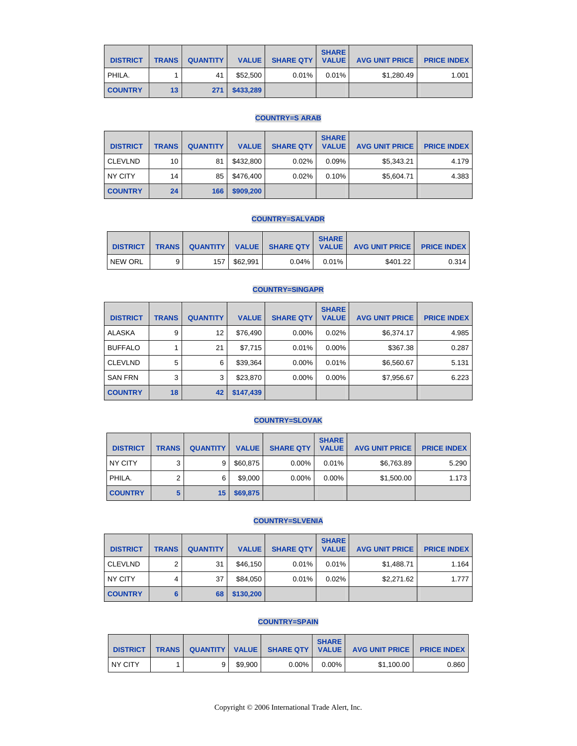| <b>DISTRICT</b> | <b>TRANS</b> | <b>QUANTITY</b> I |               | VALUE SHARE QTY   VALUE | <b>SHARE</b> | <b>AVG UNIT PRICE</b> | <b>PRICE INDEX</b> |
|-----------------|--------------|-------------------|---------------|-------------------------|--------------|-----------------------|--------------------|
| PHILA.          |              | 41                | \$52,500      | $0.01\%$                | $0.01\%$     | \$1.280.49            | 1.001              |
| <b>COUNTRY</b>  | 13           |                   | 271 \$433,289 |                         |              |                       |                    |

#### **COUNTRY=S ARAB**

| <b>DISTRICT</b> | <b>TRANS</b> | <b>QUANTITY</b> | <b>VALUE</b> | <b>SHARE QTY</b> | <b>SHARE</b><br><b>VALUE</b> | <b>AVG UNIT PRICE</b> | <b>PRICE INDEX</b> |
|-----------------|--------------|-----------------|--------------|------------------|------------------------------|-----------------------|--------------------|
| <b>CLEVLND</b>  | 10           | 81              | \$432,800    | 0.02%            | 0.09%                        | \$5,343.21            | 4.179              |
| NY CITY         | 14           | 85              | \$476.400    | 0.02%            | 0.10%                        | \$5,604.71            | 4.383              |
| <b>COUNTRY</b>  | 24           | 166             | \$909,200    |                  |                              |                       |                    |

#### **COUNTRY=SALVADR**

| <b>DISTRICT</b> |   |             |       | <b>SHARE</b> | TRANS QUANTITY VALUE SHARE QTY VALUE AVG UNIT PRICE PRICE INDEX |       |
|-----------------|---|-------------|-------|--------------|-----------------------------------------------------------------|-------|
| NEW ORL         | 9 | 157 562.991 | 0.04% | 0.01%        | \$401.22                                                        | 0.314 |

#### **COUNTRY=SINGAPR**

| <b>DISTRICT</b> | <b>TRANS</b> | <b>QUANTITY</b> | <b>VALUE</b> | <b>SHARE QTY</b> | <b>SHARE</b><br><b>VALUE</b> | <b>AVG UNIT PRICE</b> | <b>PRICE INDEX</b> |
|-----------------|--------------|-----------------|--------------|------------------|------------------------------|-----------------------|--------------------|
| <b>ALASKA</b>   | 9            | 12              | \$76,490     | $0.00\%$         | 0.02%                        | \$6,374.17            | 4.985              |
| <b>BUFFALO</b>  |              | 21              | \$7,715      | 0.01%            | $0.00\%$                     | \$367.38              | 0.287              |
| <b>CLEVLND</b>  | 5            | 6               | \$39,364     | 0.00%            | 0.01%                        | \$6,560.67            | 5.131              |
| <b>SAN FRN</b>  | 3            | 3               | \$23,870     | $0.00\%$         | $0.00\%$                     | \$7,956.67            | 6.223              |
| <b>COUNTRY</b>  | 18           | 42              | \$147,439    |                  |                              |                       |                    |

# **COUNTRY=SLOVAK**

| <b>DISTRICT</b> | <b>TRANS</b> | <b>QUANTITY</b> | <b>VALUE</b> | <b>SHARE QTY</b> | <b>SHARE</b><br><b>VALUE</b> | <b>AVG UNIT PRICE</b> | <b>PRICE INDEX</b> |
|-----------------|--------------|-----------------|--------------|------------------|------------------------------|-----------------------|--------------------|
| NY CITY         | 3            | 9               | \$60.875     | $0.00\%$         | 0.01%                        | \$6,763.89            | 5.290              |
| PHILA.          | າ            | 6               | \$9,000      | $0.00\%$         | $0.00\%$                     | \$1,500.00            | 1.173              |
| <b>COUNTRY</b>  |              | 15.             | \$69,875     |                  |                              |                       |                    |

## **COUNTRY=SLVENIA**

| <b>DISTRICT</b> | <b>TRANS</b> | <b>QUANTITY</b> | <b>VALUE</b> | <b>SHARE QTY</b> | <b>SHARE</b><br><b>VALUE</b> | <b>AVG UNIT PRICE I</b> | <b>PRICE INDEX</b> |
|-----------------|--------------|-----------------|--------------|------------------|------------------------------|-------------------------|--------------------|
| <b>CLEVLND</b>  | c            | 31              | \$46.150     | 0.01%            | 0.01%                        | \$1,488.71              | 1.164              |
| NY CITY         | 4            | 37              | \$84,050     | 0.01%            | 0.02%                        | \$2,271.62              | 1.777              |
| <b>COUNTRY</b>  |              | 68              | \$130,200    |                  |                              |                         |                    |

# **COUNTRY=SPAIN**

| <b>DISTRICT</b> |  |         |       | <b>SHARE</b> | TRANS QUANTITY VALUE SHARE QTY   VALUE   AVG UNIT PRICE   PRICE INDEX |       |
|-----------------|--|---------|-------|--------------|-----------------------------------------------------------------------|-------|
| <b>NY CITY</b>  |  | \$9.900 | 0.00% | $0.00\%$     | \$1.100.00                                                            | 0.860 |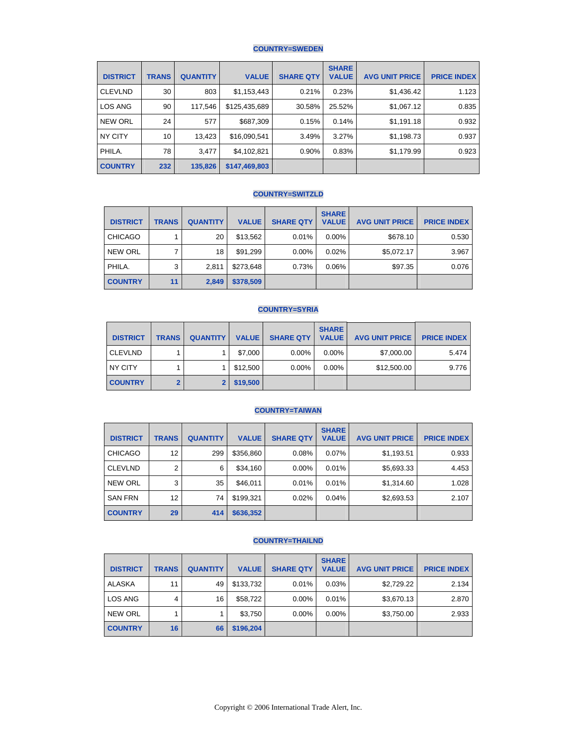## **COUNTRY=SWEDEN**

| <b>DISTRICT</b> | <b>TRANS</b> | <b>QUANTITY</b> | <b>VALUE</b>  | <b>SHARE QTY</b> | <b>SHARE</b><br><b>VALUE</b> | <b>AVG UNIT PRICE</b> | <b>PRICE INDEX</b> |
|-----------------|--------------|-----------------|---------------|------------------|------------------------------|-----------------------|--------------------|
| <b>CLEVLND</b>  | 30           | 803             | \$1,153,443   | 0.21%            | 0.23%                        | \$1,436.42            | 1.123              |
| LOS ANG         | 90           | 117,546         | \$125,435,689 | 30.58%           | 25.52%                       | \$1,067.12            | 0.835              |
| <b>NEW ORL</b>  | 24           | 577             | \$687,309     | 0.15%            | 0.14%                        | \$1,191.18            | 0.932              |
| NY CITY         | 10           | 13,423          | \$16,090,541  | 3.49%            | 3.27%                        | \$1,198.73            | 0.937              |
| PHILA.          | 78           | 3,477           | \$4,102,821   | 0.90%            | 0.83%                        | \$1,179.99            | 0.923              |
| <b>COUNTRY</b>  | 232          | 135,826         | \$147,469,803 |                  |                              |                       |                    |

#### **COUNTRY=SWITZLD**

| <b>DISTRICT</b> | <b>TRANS</b> | <b>QUANTITY</b> | <b>VALUE</b> | <b>SHARE QTY</b> | <b>SHARE</b><br><b>VALUE</b> | <b>AVG UNIT PRICE</b> | <b>PRICE INDEX</b> |
|-----------------|--------------|-----------------|--------------|------------------|------------------------------|-----------------------|--------------------|
| <b>CHICAGO</b>  |              | 20              | \$13,562     | 0.01%            | $0.00\%$                     | \$678.10              | 0.530              |
| <b>NEW ORL</b>  |              | 18              | \$91,299     | $0.00\%$         | 0.02%                        | \$5.072.17            | 3.967              |
| PHILA.          | 3            | 2.811           | \$273,648    | 0.73%            | 0.06%                        | \$97.35               | 0.076              |
| <b>COUNTRY</b>  | 11           | 2,849           | \$378,509    |                  |                              |                       |                    |

#### **COUNTRY=SYRIA**

| <b>DISTRICT</b> | <b>TRANS</b> | <b>QUANTITY</b> | <b>VALUE</b> | <b>SHARE QTY</b> | <b>SHARE</b><br><b>VALUE</b> | <b>AVG UNIT PRICE</b> | <b>PRICE INDEX</b> |
|-----------------|--------------|-----------------|--------------|------------------|------------------------------|-----------------------|--------------------|
| <b>CLEVLND</b>  |              |                 | \$7,000      | $0.00\%$         | $0.00\%$                     | \$7,000.00            | 5.474              |
| NY CITY         |              |                 | \$12,500     | $0.00\%$         | $0.00\%$                     | \$12,500.00           | 9.776              |
| <b>COUNTRY</b>  |              |                 | \$19,500     |                  |                              |                       |                    |

### **COUNTRY=TAIWAN**

| <b>DISTRICT</b> | <b>TRANS</b> | <b>QUANTITY</b> | <b>VALUE</b> | <b>SHARE QTY</b> | <b>SHARE</b><br><b>VALUE</b> | <b>AVG UNIT PRICE</b> | <b>PRICE INDEX</b> |
|-----------------|--------------|-----------------|--------------|------------------|------------------------------|-----------------------|--------------------|
| <b>CHICAGO</b>  | 12           | 299             | \$356,860    | 0.08%            | 0.07%                        | \$1,193.51            | 0.933              |
| <b>CLEVLND</b>  | 2            | 6               | \$34,160     | 0.00%            | 0.01%                        | \$5,693.33            | 4.453              |
| <b>NEW ORL</b>  | 3            | 35              | \$46,011     | 0.01%            | 0.01%                        | \$1,314.60            | 1.028              |
| <b>SAN FRN</b>  | 12           | 74              | \$199,321    | 0.02%            | 0.04%                        | \$2,693.53            | 2.107              |
| <b>COUNTRY</b>  | 29           | 414             | \$636,352    |                  |                              |                       |                    |

## **COUNTRY=THAILND**

| <b>DISTRICT</b> | <b>TRANS</b> | <b>QUANTITY</b> | <b>VALUE</b> | <b>SHARE QTY</b> | <b>SHARE</b><br><b>VALUE</b> | <b>AVG UNIT PRICE</b> | <b>PRICE INDEX</b> |
|-----------------|--------------|-----------------|--------------|------------------|------------------------------|-----------------------|--------------------|
| <b>ALASKA</b>   | 11           | 49              | \$133.732    | 0.01%            | 0.03%                        | \$2,729.22            | 2.134              |
| <b>LOS ANG</b>  | 4            | 16              | \$58,722     | $0.00\%$         | 0.01%                        | \$3,670.13            | 2.870              |
| <b>NEW ORL</b>  |              |                 | \$3,750      | $0.00\%$         | $0.00\%$                     | \$3,750.00            | 2.933              |
| <b>COUNTRY</b>  | 16           | 66              | \$196,204    |                  |                              |                       |                    |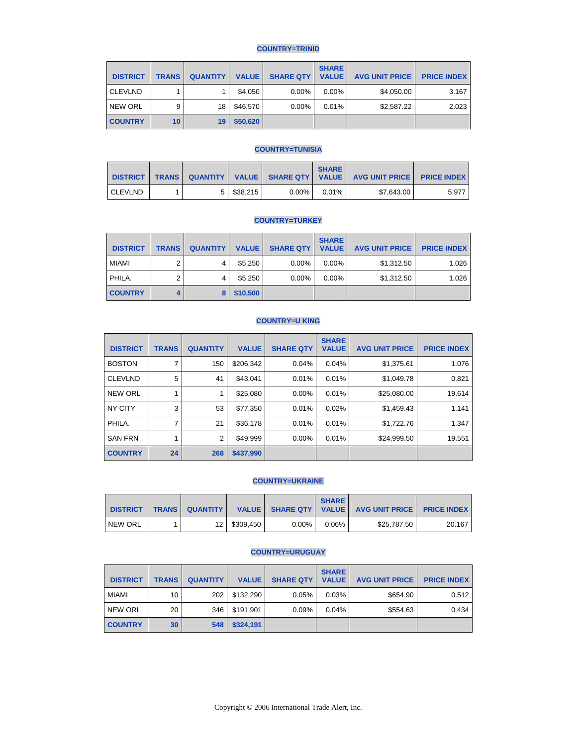## **COUNTRY=TRINID**

| <b>DISTRICT</b> | <b>TRANS</b>    | <b>QUANTITY</b> | <b>VALUE</b> | <b>SHARE QTY</b> | <b>SHARE</b><br><b>VALUE</b> | <b>AVG UNIT PRICE</b> | <b>PRICE INDEX</b> |
|-----------------|-----------------|-----------------|--------------|------------------|------------------------------|-----------------------|--------------------|
| <b>CLEVLND</b>  |                 |                 | \$4,050      | 0.00%            | $0.00\%$                     | \$4,050.00            | 3.167              |
| <b>NEW ORL</b>  | 9               | 18              | \$46,570     | 0.00%            | 0.01%                        | \$2,587.22            | 2.023              |
| <b>COUNTRY</b>  | 10 <sup>°</sup> | 19              | \$50,620     |                  |                              |                       |                    |

#### **COUNTRY=TUNISIA**

| <b>DISTRICT</b> | <b>TRANS</b> |          |       | <b>SHARE</b> | QUANTITY   VALUE   SHARE QTY   VALUE   AVG UNIT PRICE | <b>PRICE INDEX</b> |
|-----------------|--------------|----------|-------|--------------|-------------------------------------------------------|--------------------|
| <b>CLEVLND</b>  |              | \$38.215 | 0.00% | $0.01\%$     | \$7.643.00                                            | 5.977              |

#### **COUNTRY=TURKEY**

| <b>DISTRICT</b> | <b>TRANS</b> | <b>QUANTITY</b> | <b>VALUE</b> | <b>SHARE QTY</b> | <b>SHARE</b><br><b>VALUE</b> | <b>AVG UNIT PRICE</b> | <b>PRICE INDEX</b> |
|-----------------|--------------|-----------------|--------------|------------------|------------------------------|-----------------------|--------------------|
| <b>MIAMI</b>    | 2            | 4               | \$5,250      | $0.00\%$         | $0.00\%$                     | \$1,312.50            | 1.026              |
| PHILA.          | 2            | 4               | \$5.250      | $0.00\%$         | $0.00\%$                     | \$1,312.50            | 1.026              |
| <b>COUNTRY</b>  |              |                 | \$10,500     |                  |                              |                       |                    |

#### **COUNTRY=U KING**

| <b>DISTRICT</b> | <b>TRANS</b> | <b>QUANTITY</b> | <b>VALUE</b> | <b>SHARE QTY</b> | <b>SHARE</b><br><b>VALUE</b> | <b>AVG UNIT PRICE</b> | <b>PRICE INDEX</b> |
|-----------------|--------------|-----------------|--------------|------------------|------------------------------|-----------------------|--------------------|
| <b>BOSTON</b>   |              | 150             | \$206.342    | 0.04%            | 0.04%                        | \$1,375.61            | 1.076              |
| <b>CLEVLND</b>  | 5            | 41              | \$43.041     | 0.01%            | 0.01%                        | \$1,049.78            | 0.821              |
| <b>NEW ORL</b>  |              |                 | \$25,080     | 0.00%            | 0.01%                        | \$25,080.00           | 19.614             |
| <b>NY CITY</b>  | 3            | 53              | \$77,350     | 0.01%            | 0.02%                        | \$1,459.43            | 1.141              |
| PHILA.          | 7            | 21              | \$36,178     | 0.01%            | 0.01%                        | \$1,722.76            | 1.347              |
| <b>SAN FRN</b>  |              | 2               | \$49,999     | 0.00%            | 0.01%                        | \$24,999.50           | 19.551             |
| <b>COUNTRY</b>  | 24           | 268             | \$437,990    |                  |                              |                       |                    |

#### **COUNTRY=UKRAINE**

| <b>DISTRICT</b> | <b>TRANS</b> | <b>QUANTITY</b> |              | <b>VALUE   SHARE QTY   VALUE  </b> | <b>SHARE</b> | <b>AVG UNIT PRICE PRICE INDEX</b> |        |
|-----------------|--------------|-----------------|--------------|------------------------------------|--------------|-----------------------------------|--------|
| <b>NEW ORL</b>  |              |                 | 12 \$309.450 | $0.00\%$                           | 0.06%        | \$25,787.50                       | 20.167 |

#### **COUNTRY=URUGUAY**

| <b>DISTRICT</b> | <b>TRANS</b> | <b>QUANTITY</b> | <b>VALUE</b> | <b>SHARE QTY</b> | <b>SHARE</b><br><b>VALUE</b> | <b>AVG UNIT PRICE</b> | <b>PRICE INDEX</b> |
|-----------------|--------------|-----------------|--------------|------------------|------------------------------|-----------------------|--------------------|
| <b>MIAMI</b>    | 10           | 202             | \$132.290    | 0.05%            | 0.03%                        | \$654.90              | 0.512              |
| <b>NEW ORL</b>  | 20           | 346             | \$191,901    | 0.09%            | 0.04%                        | \$554.63              | 0.434              |
| <b>COUNTRY</b>  | 30           | 548             | \$324,191    |                  |                              |                       |                    |